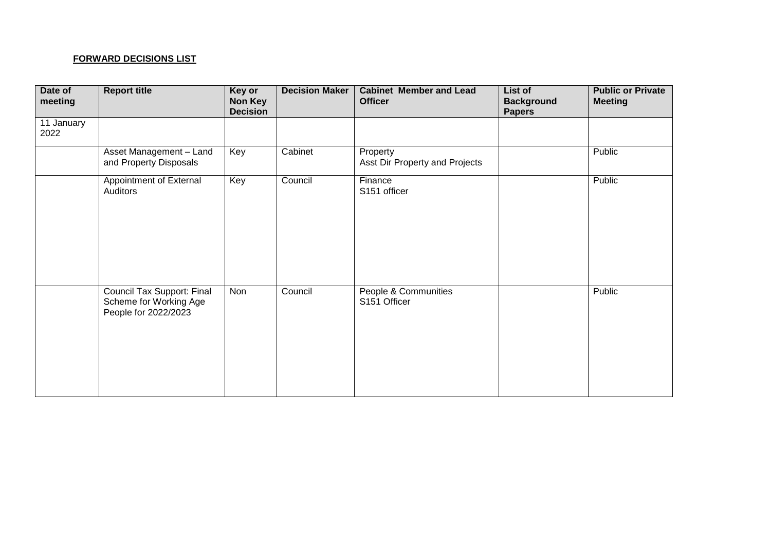## **FORWARD DECISIONS LIST**

| Date of<br>meeting | <b>Report title</b>                                                          | Key or<br><b>Non Key</b><br><b>Decision</b> | <b>Decision Maker</b> | <b>Cabinet Member and Lead</b><br><b>Officer</b> | List of<br><b>Background</b><br><b>Papers</b> | <b>Public or Private</b><br><b>Meeting</b> |
|--------------------|------------------------------------------------------------------------------|---------------------------------------------|-----------------------|--------------------------------------------------|-----------------------------------------------|--------------------------------------------|
| 11 January<br>2022 |                                                                              |                                             |                       |                                                  |                                               |                                            |
|                    | Asset Management - Land<br>and Property Disposals                            | Key                                         | Cabinet               | Property<br>Asst Dir Property and Projects       |                                               | Public                                     |
|                    | Appointment of External<br>Auditors                                          | Key                                         | Council               | Finance<br>S151 officer                          |                                               | Public                                     |
|                    | Council Tax Support: Final<br>Scheme for Working Age<br>People for 2022/2023 | Non                                         | Council               | People & Communities<br>S151 Officer             |                                               | Public                                     |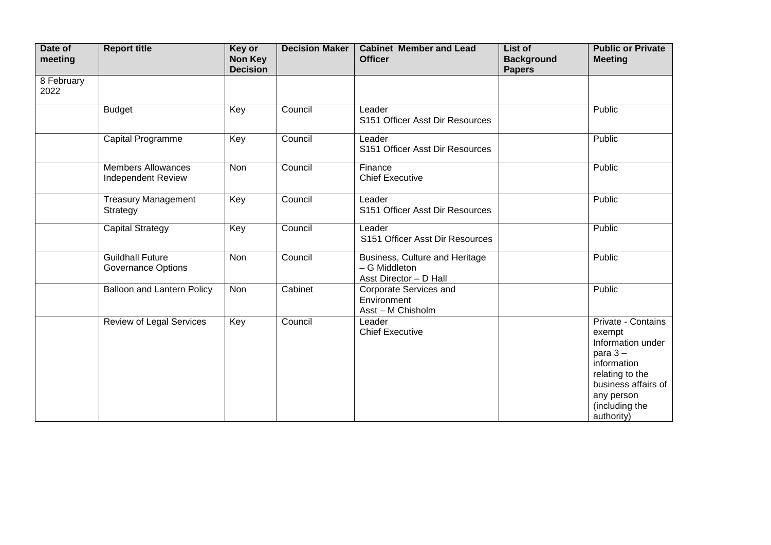| Date of<br>meeting | <b>Report title</b>                                    | Key or<br>Non Key<br><b>Decision</b> | <b>Decision Maker</b> | <b>Cabinet Member and Lead</b><br><b>Officer</b>                          | List of<br><b>Background</b><br><b>Papers</b> | <b>Public or Private</b><br><b>Meeting</b>                                                                                                                            |
|--------------------|--------------------------------------------------------|--------------------------------------|-----------------------|---------------------------------------------------------------------------|-----------------------------------------------|-----------------------------------------------------------------------------------------------------------------------------------------------------------------------|
| 8 February<br>2022 |                                                        |                                      |                       |                                                                           |                                               |                                                                                                                                                                       |
|                    | <b>Budget</b>                                          | Key                                  | Council               | Leader<br>S151 Officer Asst Dir Resources                                 |                                               | Public                                                                                                                                                                |
|                    | Capital Programme                                      | Key                                  | Council               | Leader<br>S151 Officer Asst Dir Resources                                 |                                               | Public                                                                                                                                                                |
|                    | <b>Members Allowances</b><br><b>Independent Review</b> | Non                                  | Council               | Finance<br><b>Chief Executive</b>                                         |                                               | Public                                                                                                                                                                |
|                    | <b>Treasury Management</b><br>Strategy                 | Key                                  | Council               | Leader<br>S151 Officer Asst Dir Resources                                 |                                               | Public                                                                                                                                                                |
|                    | Capital Strategy                                       | Key                                  | Council               | Leader<br>S151 Officer Asst Dir Resources                                 |                                               | Public                                                                                                                                                                |
|                    | <b>Guildhall Future</b><br><b>Governance Options</b>   | Non                                  | Council               | Business, Culture and Heritage<br>- G Middleton<br>Asst Director - D Hall |                                               | Public                                                                                                                                                                |
|                    | <b>Balloon and Lantern Policy</b>                      | Non                                  | Cabinet               | Corporate Services and<br>Environment<br>Asst - M Chisholm                |                                               | Public                                                                                                                                                                |
|                    | <b>Review of Legal Services</b>                        | Key                                  | Council               | Leader<br><b>Chief Executive</b>                                          |                                               | Private - Contains<br>exempt<br>Information under<br>para $3-$<br>information<br>relating to the<br>business affairs of<br>any person<br>(including the<br>authority) |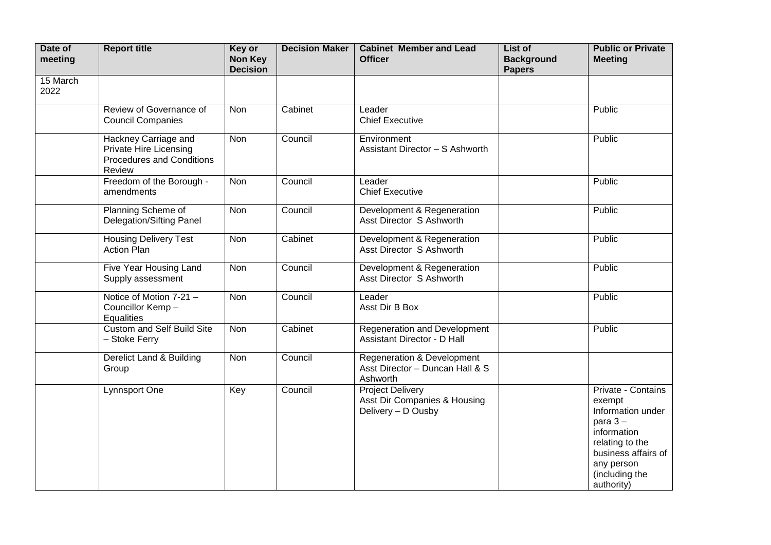| Date of<br>meeting | <b>Report title</b>                                                                                 | Key or<br>Non Key<br><b>Decision</b> | <b>Decision Maker</b> | <b>Cabinet Member and Lead</b><br><b>Officer</b>                                     | List of<br><b>Background</b><br><b>Papers</b> | <b>Public or Private</b><br><b>Meeting</b>                                                                                                                            |
|--------------------|-----------------------------------------------------------------------------------------------------|--------------------------------------|-----------------------|--------------------------------------------------------------------------------------|-----------------------------------------------|-----------------------------------------------------------------------------------------------------------------------------------------------------------------------|
| 15 March<br>2022   |                                                                                                     |                                      |                       |                                                                                      |                                               |                                                                                                                                                                       |
|                    | Review of Governance of<br><b>Council Companies</b>                                                 | Non                                  | Cabinet               | Leader<br><b>Chief Executive</b>                                                     |                                               | Public                                                                                                                                                                |
|                    | Hackney Carriage and<br><b>Private Hire Licensing</b><br><b>Procedures and Conditions</b><br>Review | Non                                  | Council               | Environment<br>Assistant Director - S Ashworth                                       |                                               | Public                                                                                                                                                                |
|                    | Freedom of the Borough -<br>amendments                                                              | Non                                  | Council               | Leader<br><b>Chief Executive</b>                                                     |                                               | Public                                                                                                                                                                |
|                    | Planning Scheme of<br><b>Delegation/Sifting Panel</b>                                               | Non                                  | Council               | Development & Regeneration<br>Asst Director S Ashworth                               |                                               | Public                                                                                                                                                                |
|                    | <b>Housing Delivery Test</b><br><b>Action Plan</b>                                                  | Non                                  | Cabinet               | Development & Regeneration<br>Asst Director S Ashworth                               |                                               | Public                                                                                                                                                                |
|                    | Five Year Housing Land<br>Supply assessment                                                         | Non                                  | Council               | Development & Regeneration<br>Asst Director S Ashworth                               |                                               | Public                                                                                                                                                                |
|                    | Notice of Motion 7-21 -<br>Councillor Kemp -<br><b>Equalities</b>                                   | <b>Non</b>                           | Council               | Leader<br>Asst Dir B Box                                                             |                                               | Public                                                                                                                                                                |
|                    | <b>Custom and Self Build Site</b><br>- Stoke Ferry                                                  | Non                                  | Cabinet               | <b>Regeneration and Development</b><br><b>Assistant Director - D Hall</b>            |                                               | Public                                                                                                                                                                |
|                    | Derelict Land & Building<br>Group                                                                   | Non                                  | Council               | <b>Regeneration &amp; Development</b><br>Asst Director - Duncan Hall & S<br>Ashworth |                                               |                                                                                                                                                                       |
|                    | Lynnsport One                                                                                       | Key                                  | Council               | <b>Project Delivery</b><br>Asst Dir Companies & Housing<br>Delivery - D Ousby        |                                               | Private - Contains<br>exempt<br>Information under<br>para $3-$<br>information<br>relating to the<br>business affairs of<br>any person<br>(including the<br>authority) |